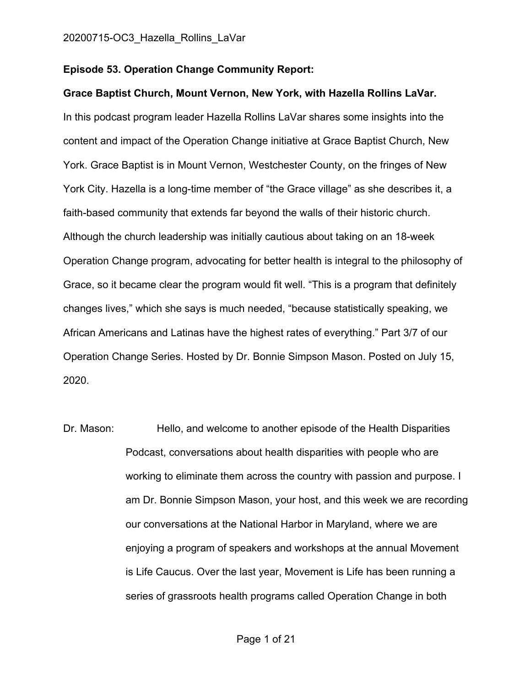#### **Episode 53. Operation Change Community Report:**

**Grace Baptist Church, Mount Vernon, New York, with Hazella Rollins LaVar.** In this podcast program leader Hazella Rollins LaVar shares some insights into the content and impact of the Operation Change initiative at Grace Baptist Church, New York. Grace Baptist is in Mount Vernon, Westchester County, on the fringes of New York City. Hazella is a long-time member of "the Grace village" as she describes it, a faith-based community that extends far beyond the walls of their historic church. Although the church leadership was initially cautious about taking on an 18-week Operation Change program, advocating for better health is integral to the philosophy of Grace, so it became clear the program would fit well. "This is a program that definitely changes lives," which she says is much needed, "because statistically speaking, we African Americans and Latinas have the highest rates of everything." Part 3/7 of our Operation Change Series. Hosted by Dr. Bonnie Simpson Mason. Posted on July 15, 2020.

Dr. Mason: Hello, and welcome to another episode of the Health Disparities Podcast, conversations about health disparities with people who are working to eliminate them across the country with passion and purpose. I am Dr. Bonnie Simpson Mason, your host, and this week we are recording our conversations at the National Harbor in Maryland, where we are enjoying a program of speakers and workshops at the annual Movement is Life Caucus. Over the last year, Movement is Life has been running a series of grassroots health programs called Operation Change in both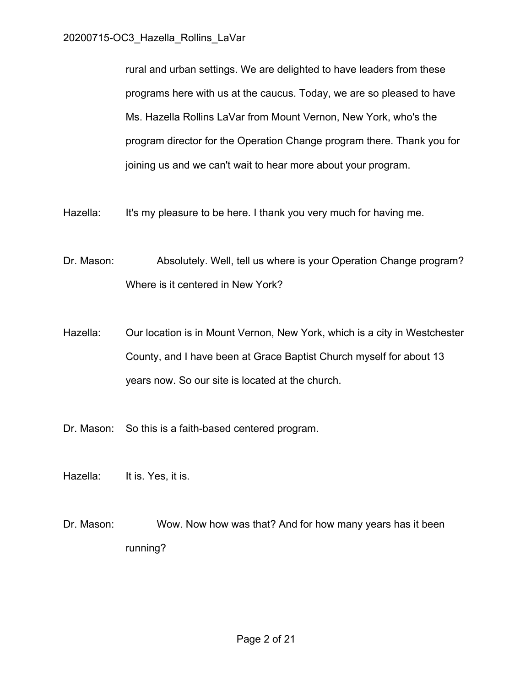rural and urban settings. We are delighted to have leaders from these programs here with us at the caucus. Today, we are so pleased to have Ms. Hazella Rollins LaVar from Mount Vernon, New York, who's the program director for the Operation Change program there. Thank you for joining us and we can't wait to hear more about your program.

Hazella: It's my pleasure to be here. I thank you very much for having me.

- Dr. Mason: Absolutely. Well, tell us where is your Operation Change program? Where is it centered in New York?
- Hazella: Our location is in Mount Vernon, New York, which is a city in Westchester County, and I have been at Grace Baptist Church myself for about 13 years now. So our site is located at the church.
- Dr. Mason: So this is a faith-based centered program.
- Hazella: It is. Yes, it is.
- Dr. Mason: Wow. Now how was that? And for how many years has it been running?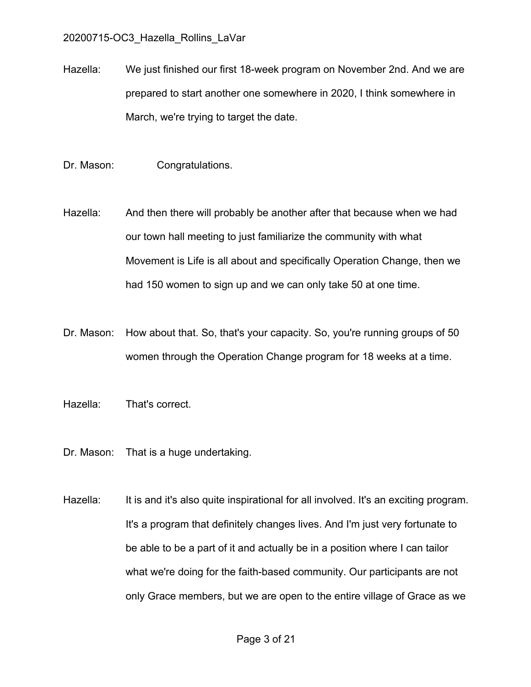Hazella: We just finished our first 18-week program on November 2nd. And we are prepared to start another one somewhere in 2020, I think somewhere in March, we're trying to target the date.

- Dr. Mason: Congratulations.
- Hazella: And then there will probably be another after that because when we had our town hall meeting to just familiarize the community with what Movement is Life is all about and specifically Operation Change, then we had 150 women to sign up and we can only take 50 at one time.
- Dr. Mason: How about that. So, that's your capacity. So, you're running groups of 50 women through the Operation Change program for 18 weeks at a time.
- Hazella: That's correct.
- Dr. Mason: That is a huge undertaking.
- Hazella: It is and it's also quite inspirational for all involved. It's an exciting program. It's a program that definitely changes lives. And I'm just very fortunate to be able to be a part of it and actually be in a position where I can tailor what we're doing for the faith-based community. Our participants are not only Grace members, but we are open to the entire village of Grace as we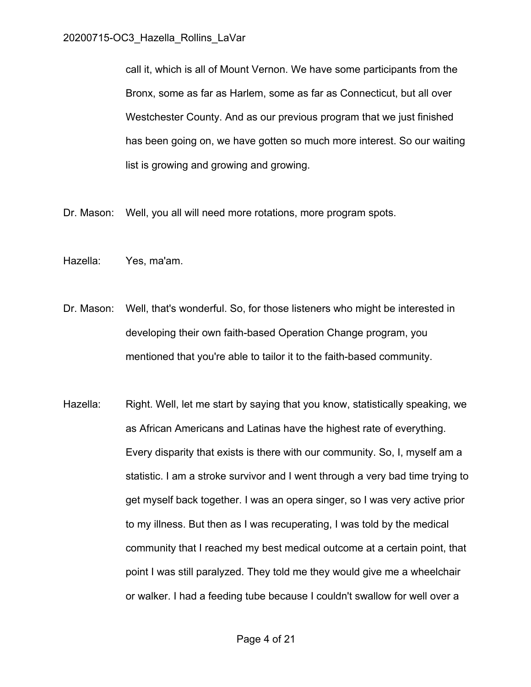call it, which is all of Mount Vernon. We have some participants from the Bronx, some as far as Harlem, some as far as Connecticut, but all over Westchester County. And as our previous program that we just finished has been going on, we have gotten so much more interest. So our waiting list is growing and growing and growing.

Dr. Mason: Well, you all will need more rotations, more program spots.

- Hazella: Yes, ma'am.
- Dr. Mason: Well, that's wonderful. So, for those listeners who might be interested in developing their own faith-based Operation Change program, you mentioned that you're able to tailor it to the faith-based community.
- Hazella: Right. Well, let me start by saying that you know, statistically speaking, we as African Americans and Latinas have the highest rate of everything. Every disparity that exists is there with our community. So, I, myself am a statistic. I am a stroke survivor and I went through a very bad time trying to get myself back together. I was an opera singer, so I was very active prior to my illness. But then as I was recuperating, I was told by the medical community that I reached my best medical outcome at a certain point, that point I was still paralyzed. They told me they would give me a wheelchair or walker. I had a feeding tube because I couldn't swallow for well over a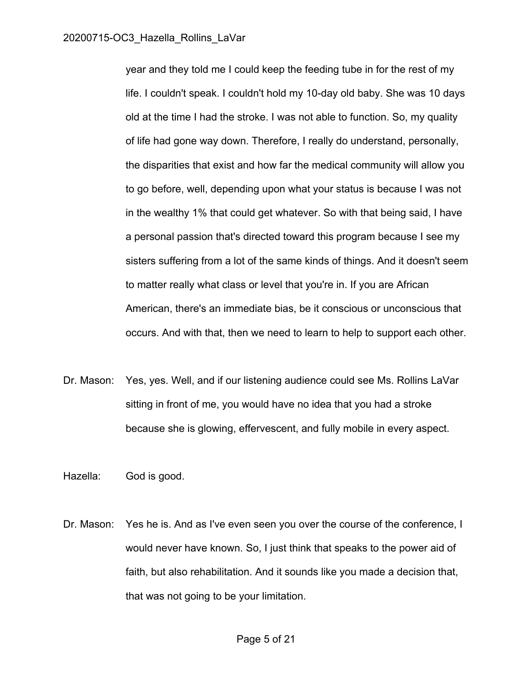year and they told me I could keep the feeding tube in for the rest of my life. I couldn't speak. I couldn't hold my 10-day old baby. She was 10 days old at the time I had the stroke. I was not able to function. So, my quality of life had gone way down. Therefore, I really do understand, personally, the disparities that exist and how far the medical community will allow you to go before, well, depending upon what your status is because I was not in the wealthy 1% that could get whatever. So with that being said, I have a personal passion that's directed toward this program because I see my sisters suffering from a lot of the same kinds of things. And it doesn't seem to matter really what class or level that you're in. If you are African American, there's an immediate bias, be it conscious or unconscious that occurs. And with that, then we need to learn to help to support each other.

Dr. Mason: Yes, yes. Well, and if our listening audience could see Ms. Rollins LaVar sitting in front of me, you would have no idea that you had a stroke because she is glowing, effervescent, and fully mobile in every aspect.

Hazella: God is good.

Dr. Mason: Yes he is. And as I've even seen you over the course of the conference, I would never have known. So, I just think that speaks to the power aid of faith, but also rehabilitation. And it sounds like you made a decision that, that was not going to be your limitation.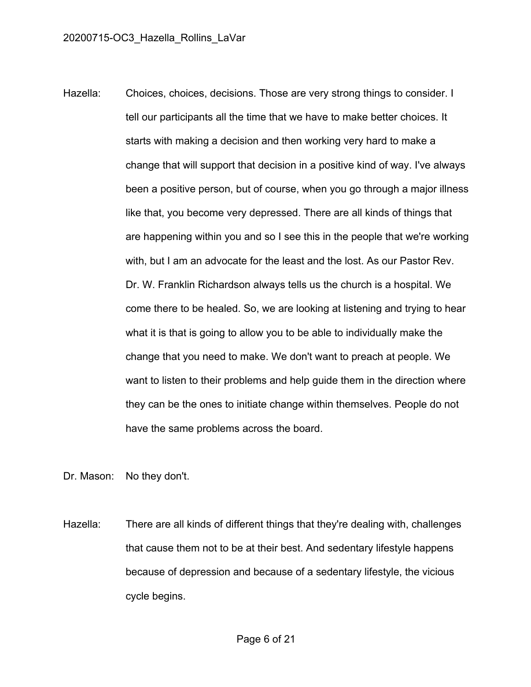Hazella: Choices, choices, decisions. Those are very strong things to consider. I tell our participants all the time that we have to make better choices. It starts with making a decision and then working very hard to make a change that will support that decision in a positive kind of way. I've always been a positive person, but of course, when you go through a major illness like that, you become very depressed. There are all kinds of things that are happening within you and so I see this in the people that we're working with, but I am an advocate for the least and the lost. As our Pastor Rev. Dr. W. Franklin Richardson always tells us the church is a hospital. We come there to be healed. So, we are looking at listening and trying to hear what it is that is going to allow you to be able to individually make the change that you need to make. We don't want to preach at people. We want to listen to their problems and help guide them in the direction where they can be the ones to initiate change within themselves. People do not have the same problems across the board.

Dr. Mason: No they don't.

Hazella: There are all kinds of different things that they're dealing with, challenges that cause them not to be at their best. And sedentary lifestyle happens because of depression and because of a sedentary lifestyle, the vicious cycle begins.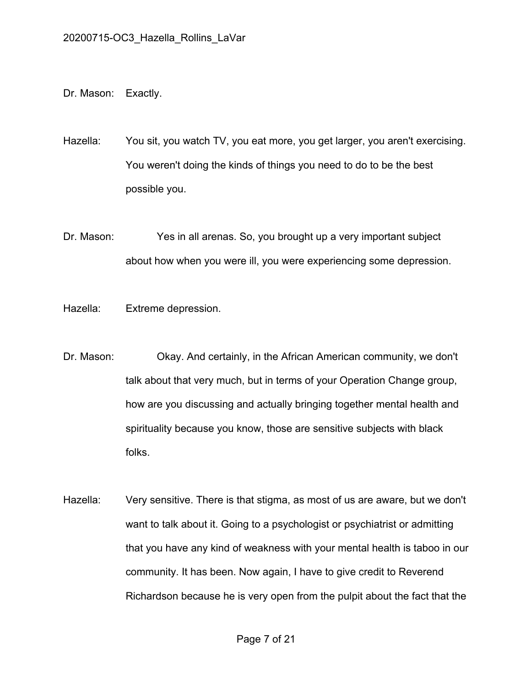Dr. Mason: Exactly.

Hazella: You sit, you watch TV, you eat more, you get larger, you aren't exercising. You weren't doing the kinds of things you need to do to be the best possible you.

Dr. Mason: Yes in all arenas. So, you brought up a very important subject about how when you were ill, you were experiencing some depression.

Hazella: Extreme depression.

- Dr. Mason: Okay. And certainly, in the African American community, we don't talk about that very much, but in terms of your Operation Change group, how are you discussing and actually bringing together mental health and spirituality because you know, those are sensitive subjects with black folks.
- Hazella: Very sensitive. There is that stigma, as most of us are aware, but we don't want to talk about it. Going to a psychologist or psychiatrist or admitting that you have any kind of weakness with your mental health is taboo in our community. It has been. Now again, I have to give credit to Reverend Richardson because he is very open from the pulpit about the fact that the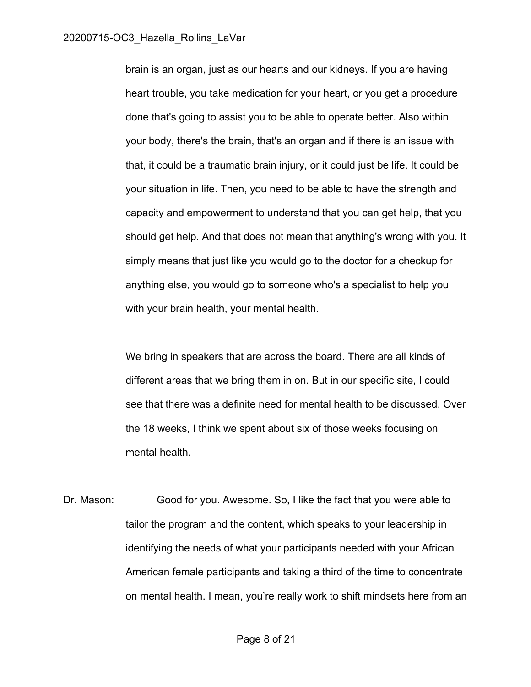brain is an organ, just as our hearts and our kidneys. If you are having heart trouble, you take medication for your heart, or you get a procedure done that's going to assist you to be able to operate better. Also within your body, there's the brain, that's an organ and if there is an issue with that, it could be a traumatic brain injury, or it could just be life. It could be your situation in life. Then, you need to be able to have the strength and capacity and empowerment to understand that you can get help, that you should get help. And that does not mean that anything's wrong with you. It simply means that just like you would go to the doctor for a checkup for anything else, you would go to someone who's a specialist to help you with your brain health, your mental health.

We bring in speakers that are across the board. There are all kinds of different areas that we bring them in on. But in our specific site, I could see that there was a definite need for mental health to be discussed. Over the 18 weeks, I think we spent about six of those weeks focusing on mental health.

Dr. Mason: Good for you. Awesome. So, I like the fact that you were able to tailor the program and the content, which speaks to your leadership in identifying the needs of what your participants needed with your African American female participants and taking a third of the time to concentrate on mental health. I mean, you're really work to shift mindsets here from an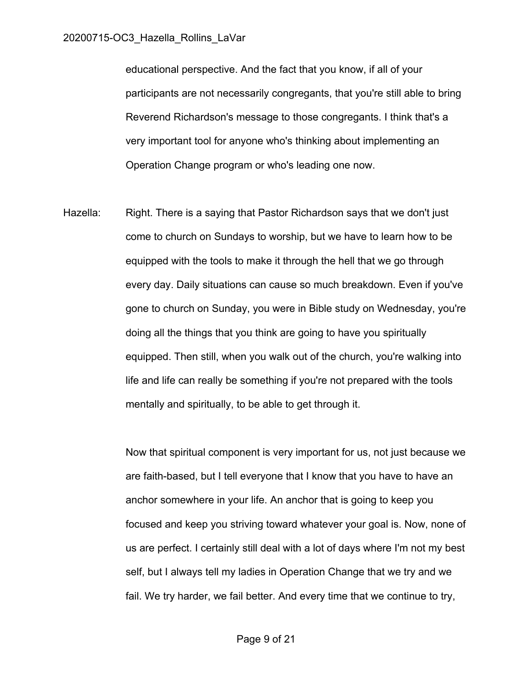educational perspective. And the fact that you know, if all of your participants are not necessarily congregants, that you're still able to bring Reverend Richardson's message to those congregants. I think that's a very important tool for anyone who's thinking about implementing an Operation Change program or who's leading one now.

Hazella: Right. There is a saying that Pastor Richardson says that we don't just come to church on Sundays to worship, but we have to learn how to be equipped with the tools to make it through the hell that we go through every day. Daily situations can cause so much breakdown. Even if you've gone to church on Sunday, you were in Bible study on Wednesday, you're doing all the things that you think are going to have you spiritually equipped. Then still, when you walk out of the church, you're walking into life and life can really be something if you're not prepared with the tools mentally and spiritually, to be able to get through it.

> Now that spiritual component is very important for us, not just because we are faith-based, but I tell everyone that I know that you have to have an anchor somewhere in your life. An anchor that is going to keep you focused and keep you striving toward whatever your goal is. Now, none of us are perfect. I certainly still deal with a lot of days where I'm not my best self, but I always tell my ladies in Operation Change that we try and we fail. We try harder, we fail better. And every time that we continue to try,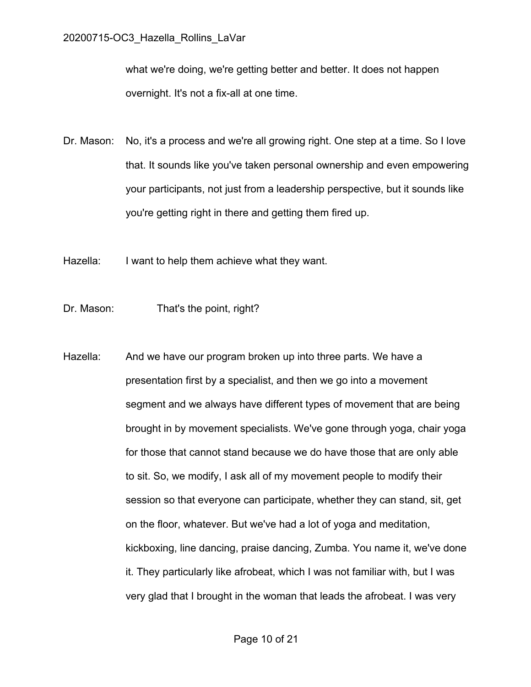what we're doing, we're getting better and better. It does not happen overnight. It's not a fix-all at one time.

- Dr. Mason: No, it's a process and we're all growing right. One step at a time. So I love that. It sounds like you've taken personal ownership and even empowering your participants, not just from a leadership perspective, but it sounds like you're getting right in there and getting them fired up.
- Hazella: I want to help them achieve what they want.
- Dr. Mason: That's the point, right?
- Hazella: And we have our program broken up into three parts. We have a presentation first by a specialist, and then we go into a movement segment and we always have different types of movement that are being brought in by movement specialists. We've gone through yoga, chair yoga for those that cannot stand because we do have those that are only able to sit. So, we modify, I ask all of my movement people to modify their session so that everyone can participate, whether they can stand, sit, get on the floor, whatever. But we've had a lot of yoga and meditation, kickboxing, line dancing, praise dancing, Zumba. You name it, we've done it. They particularly like afrobeat, which I was not familiar with, but I was very glad that I brought in the woman that leads the afrobeat. I was very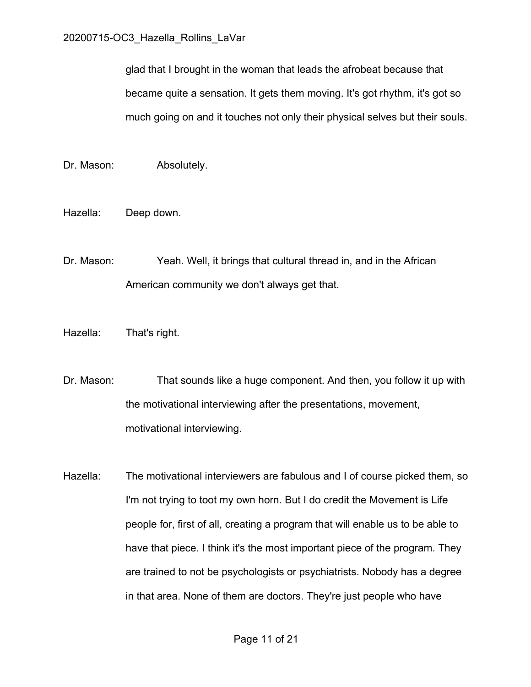glad that I brought in the woman that leads the afrobeat because that became quite a sensation. It gets them moving. It's got rhythm, it's got so much going on and it touches not only their physical selves but their souls.

- Dr. Mason: Absolutely.
- Hazella: Deep down.
- Dr. Mason: Yeah. Well, it brings that cultural thread in, and in the African American community we don't always get that.
- Hazella: That's right.
- Dr. Mason: That sounds like a huge component. And then, you follow it up with the motivational interviewing after the presentations, movement, motivational interviewing.
- Hazella: The motivational interviewers are fabulous and I of course picked them, so I'm not trying to toot my own horn. But I do credit the Movement is Life people for, first of all, creating a program that will enable us to be able to have that piece. I think it's the most important piece of the program. They are trained to not be psychologists or psychiatrists. Nobody has a degree in that area. None of them are doctors. They're just people who have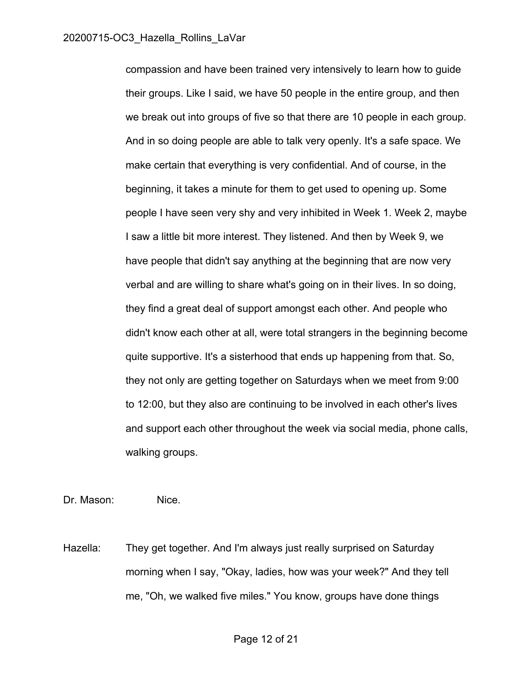compassion and have been trained very intensively to learn how to guide their groups. Like I said, we have 50 people in the entire group, and then we break out into groups of five so that there are 10 people in each group. And in so doing people are able to talk very openly. It's a safe space. We make certain that everything is very confidential. And of course, in the beginning, it takes a minute for them to get used to opening up. Some people I have seen very shy and very inhibited in Week 1. Week 2, maybe I saw a little bit more interest. They listened. And then by Week 9, we have people that didn't say anything at the beginning that are now very verbal and are willing to share what's going on in their lives. In so doing, they find a great deal of support amongst each other. And people who didn't know each other at all, were total strangers in the beginning become quite supportive. It's a sisterhood that ends up happening from that. So, they not only are getting together on Saturdays when we meet from 9:00 to 12:00, but they also are continuing to be involved in each other's lives and support each other throughout the week via social media, phone calls, walking groups.

Dr. Mason: Nice.

Hazella: They get together. And I'm always just really surprised on Saturday morning when I say, "Okay, ladies, how was your week?" And they tell me, "Oh, we walked five miles." You know, groups have done things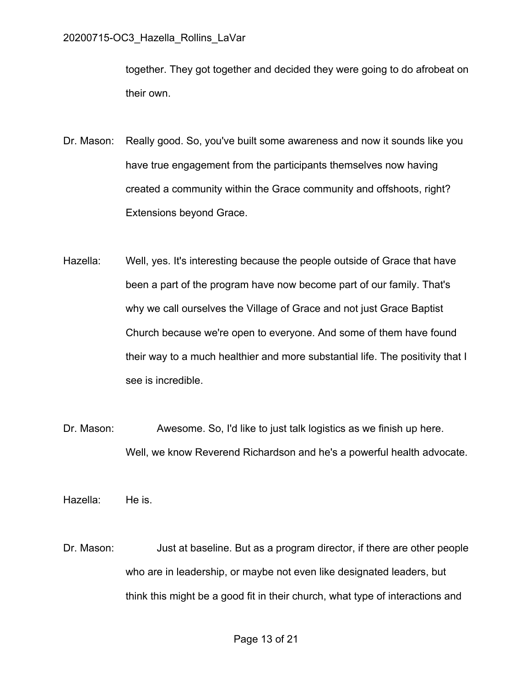together. They got together and decided they were going to do afrobeat on their own.

- Dr. Mason: Really good. So, you've built some awareness and now it sounds like you have true engagement from the participants themselves now having created a community within the Grace community and offshoots, right? Extensions beyond Grace.
- Hazella: Well, yes. It's interesting because the people outside of Grace that have been a part of the program have now become part of our family. That's why we call ourselves the Village of Grace and not just Grace Baptist Church because we're open to everyone. And some of them have found their way to a much healthier and more substantial life. The positivity that I see is incredible.
- Dr. Mason: Awesome. So, I'd like to just talk logistics as we finish up here. Well, we know Reverend Richardson and he's a powerful health advocate.
- Hazella: He is.
- Dr. Mason: Just at baseline. But as a program director, if there are other people who are in leadership, or maybe not even like designated leaders, but think this might be a good fit in their church, what type of interactions and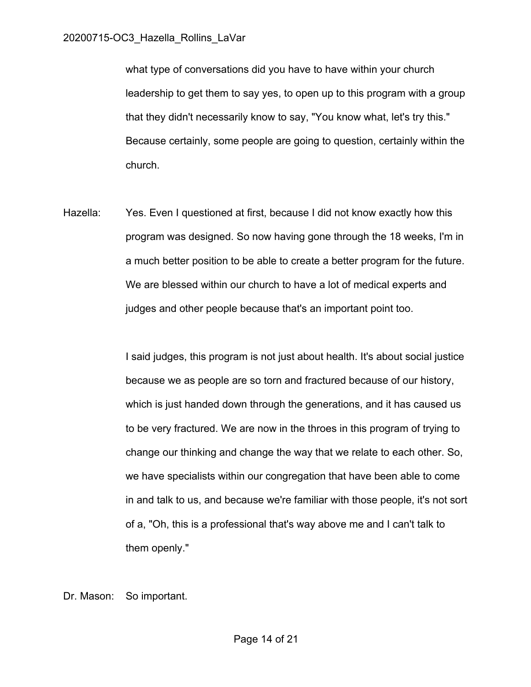what type of conversations did you have to have within your church leadership to get them to say yes, to open up to this program with a group that they didn't necessarily know to say, "You know what, let's try this." Because certainly, some people are going to question, certainly within the church.

Hazella: Yes. Even I questioned at first, because I did not know exactly how this program was designed. So now having gone through the 18 weeks, I'm in a much better position to be able to create a better program for the future. We are blessed within our church to have a lot of medical experts and judges and other people because that's an important point too.

> I said judges, this program is not just about health. It's about social justice because we as people are so torn and fractured because of our history, which is just handed down through the generations, and it has caused us to be very fractured. We are now in the throes in this program of trying to change our thinking and change the way that we relate to each other. So, we have specialists within our congregation that have been able to come in and talk to us, and because we're familiar with those people, it's not sort of a, "Oh, this is a professional that's way above me and I can't talk to them openly."

Dr. Mason: So important.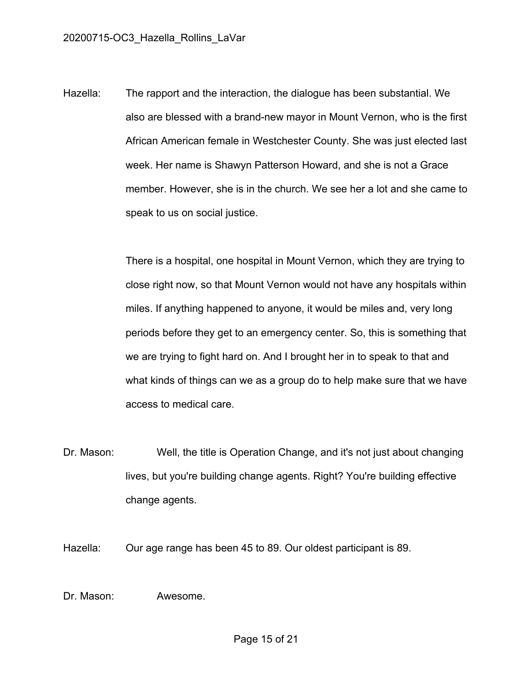Hazella: The rapport and the interaction, the dialogue has been substantial. We also are blessed with a brand-new mayor in Mount Vernon, who is the first African American female in Westchester County. She was just elected last week. Her name is Shawyn Patterson Howard, and she is not a Grace member. However, she is in the church. We see her a lot and she came to speak to us on social justice.

> There is a hospital, one hospital in Mount Vernon, which they are trying to close right now, so that Mount Vernon would not have any hospitals within miles. If anything happened to anyone, it would be miles and, very long periods before they get to an emergency center. So, this is something that we are trying to fight hard on. And I brought her in to speak to that and what kinds of things can we as a group do to help make sure that we have access to medical care.

Dr. Mason: Well, the title is Operation Change, and it's not just about changing lives, but you're building change agents. Right? You're building effective change agents.

Hazella: Our age range has been 45 to 89. Our oldest participant is 89.

Dr. Mason: Awesome.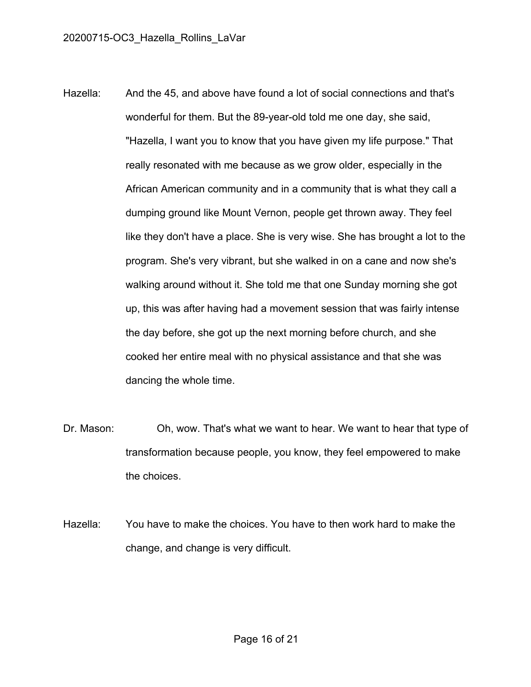- Hazella: And the 45, and above have found a lot of social connections and that's wonderful for them. But the 89-year-old told me one day, she said, "Hazella, I want you to know that you have given my life purpose." That really resonated with me because as we grow older, especially in the African American community and in a community that is what they call a dumping ground like Mount Vernon, people get thrown away. They feel like they don't have a place. She is very wise. She has brought a lot to the program. She's very vibrant, but she walked in on a cane and now she's walking around without it. She told me that one Sunday morning she got up, this was after having had a movement session that was fairly intense the day before, she got up the next morning before church, and she cooked her entire meal with no physical assistance and that she was dancing the whole time.
- Dr. Mason: Oh, wow. That's what we want to hear. We want to hear that type of transformation because people, you know, they feel empowered to make the choices.

Hazella: You have to make the choices. You have to then work hard to make the change, and change is very difficult.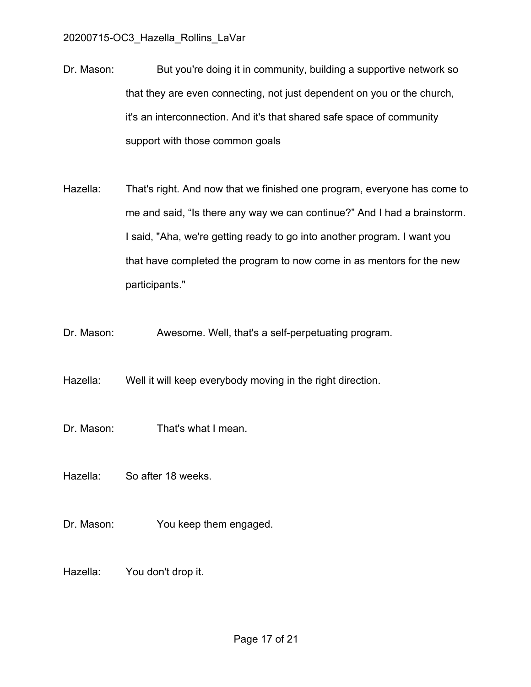- Dr. Mason: But you're doing it in community, building a supportive network so that they are even connecting, not just dependent on you or the church, it's an interconnection. And it's that shared safe space of community support with those common goals
- Hazella: That's right. And now that we finished one program, everyone has come to me and said, "Is there any way we can continue?" And I had a brainstorm. I said, "Aha, we're getting ready to go into another program. I want you that have completed the program to now come in as mentors for the new participants."
- Dr. Mason: Awesome. Well, that's a self-perpetuating program.

Hazella: Well it will keep everybody moving in the right direction.

- Dr. Mason: That's what I mean.
- Hazella: So after 18 weeks.
- Dr. Mason: You keep them engaged.
- Hazella: You don't drop it.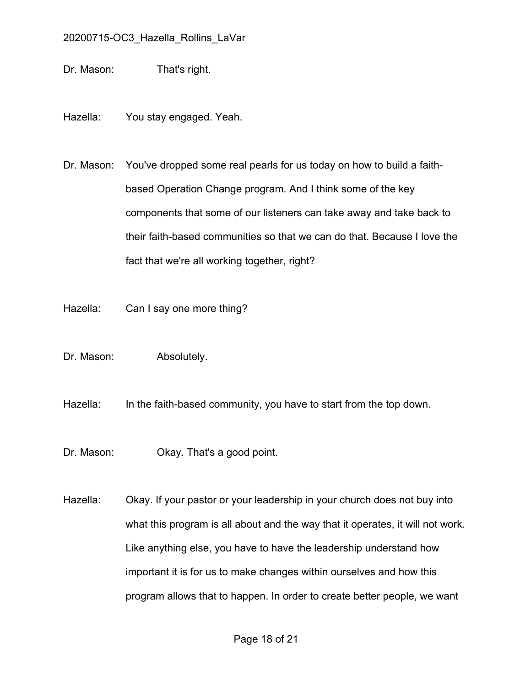Dr. Mason: That's right.

Hazella: You stay engaged. Yeah.

Dr. Mason: You've dropped some real pearls for us today on how to build a faithbased Operation Change program. And I think some of the key components that some of our listeners can take away and take back to their faith-based communities so that we can do that. Because I love the fact that we're all working together, right?

- Hazella: Can I say one more thing?
- Dr. Mason: Absolutely.

Hazella: In the faith-based community, you have to start from the top down.

Dr. Mason: Okay. That's a good point.

Hazella: Okay. If your pastor or your leadership in your church does not buy into what this program is all about and the way that it operates, it will not work. Like anything else, you have to have the leadership understand how important it is for us to make changes within ourselves and how this program allows that to happen. In order to create better people, we want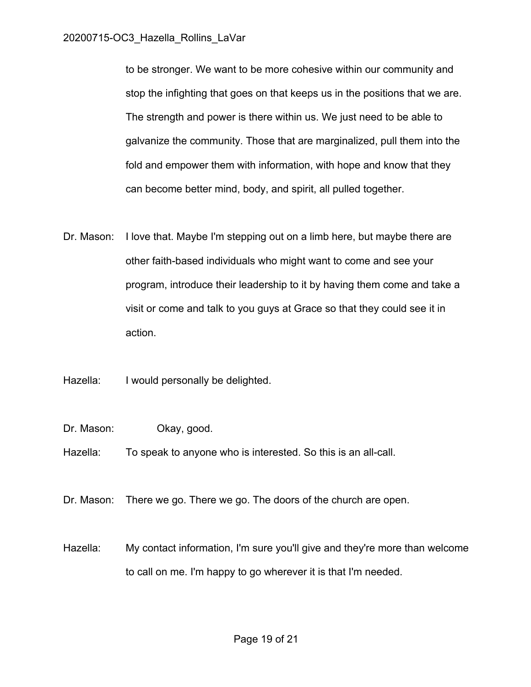to be stronger. We want to be more cohesive within our community and stop the infighting that goes on that keeps us in the positions that we are. The strength and power is there within us. We just need to be able to galvanize the community. Those that are marginalized, pull them into the fold and empower them with information, with hope and know that they can become better mind, body, and spirit, all pulled together.

Dr. Mason: I love that. Maybe I'm stepping out on a limb here, but maybe there are other faith-based individuals who might want to come and see your program, introduce their leadership to it by having them come and take a visit or come and talk to you guys at Grace so that they could see it in action.

Hazella: I would personally be delighted.

- Dr. Mason: Okay, good.
- Hazella: To speak to anyone who is interested. So this is an all-call.
- Dr. Mason: There we go. There we go. The doors of the church are open.
- Hazella: My contact information, I'm sure you'll give and they're more than welcome to call on me. I'm happy to go wherever it is that I'm needed.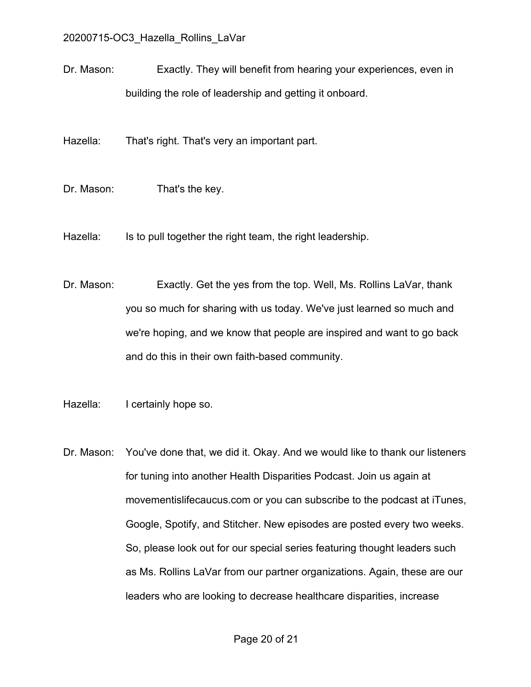Dr. Mason: Exactly. They will benefit from hearing your experiences, even in building the role of leadership and getting it onboard.

Hazella: That's right. That's very an important part.

Dr. Mason: That's the key.

Hazella: Is to pull together the right team, the right leadership.

Dr. Mason: Exactly. Get the yes from the top. Well, Ms. Rollins LaVar, thank you so much for sharing with us today. We've just learned so much and we're hoping, and we know that people are inspired and want to go back and do this in their own faith-based community.

Hazella: I certainly hope so.

Dr. Mason: You've done that, we did it. Okay. And we would like to thank our listeners for tuning into another Health Disparities Podcast. Join us again at movementislifecaucus.com or you can subscribe to the podcast at iTunes, Google, Spotify, and Stitcher. New episodes are posted every two weeks. So, please look out for our special series featuring thought leaders such as Ms. Rollins LaVar from our partner organizations. Again, these are our leaders who are looking to decrease healthcare disparities, increase